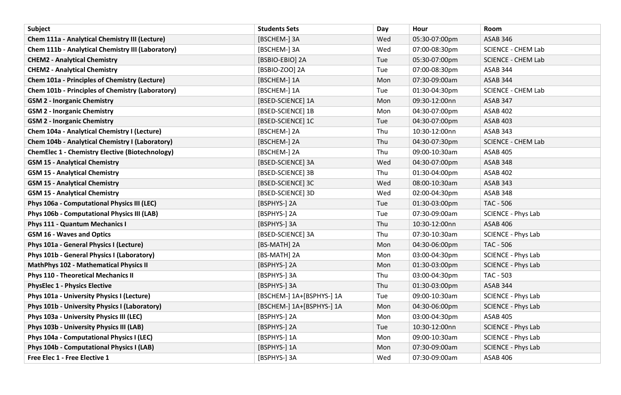| <b>Subject</b>                                           | <b>Students Sets</b>      | Day | Hour          | Room                      |
|----------------------------------------------------------|---------------------------|-----|---------------|---------------------------|
| <b>Chem 111a - Analytical Chemistry III (Lecture)</b>    | [BSCHEM-] 3A              | Wed | 05:30-07:00pm | <b>ASAB 346</b>           |
| <b>Chem 111b - Analytical Chemistry III (Laboratory)</b> | [BSCHEM-] 3A              | Wed | 07:00-08:30pm | <b>SCIENCE - CHEM Lab</b> |
| <b>CHEM2 - Analytical Chemistry</b>                      | [BSBIO-EBIO] 2A           | Tue | 05:30-07:00pm | <b>SCIENCE - CHEM Lab</b> |
| <b>CHEM2 - Analytical Chemistry</b>                      | [BSBIO-ZOO] 2A            | Tue | 07:00-08:30pm | ASAB 344                  |
| <b>Chem 101a - Principles of Chemistry (Lecture)</b>     | [BSCHEM-] 1A              | Mon | 07:30-09:00am | <b>ASAB 344</b>           |
| <b>Chem 101b - Principles of Chemistry (Laboratory)</b>  | [BSCHEM-] 1A              | Tue | 01:30-04:30pm | <b>SCIENCE - CHEM Lab</b> |
| <b>GSM 2 - Inorganic Chemistry</b>                       | [BSED-SCIENCE] 1A         | Mon | 09:30-12:00nn | <b>ASAB 347</b>           |
| <b>GSM 2 - Inorganic Chemistry</b>                       | [BSED-SCIENCE] 1B         | Mon | 04:30-07:00pm | <b>ASAB 402</b>           |
| <b>GSM 2 - Inorganic Chemistry</b>                       | [BSED-SCIENCE] 1C         | Tue | 04:30-07:00pm | <b>ASAB 403</b>           |
| Chem 104a - Analytical Chemistry I (Lecture)             | [BSCHEM-] 2A              | Thu | 10:30-12:00nn | ASAB 343                  |
| Chem 104b - Analytical Chemistry I (Laboratory)          | [BSCHEM-] 2A              | Thu | 04:30-07:30pm | <b>SCIENCE - CHEM Lab</b> |
| <b>ChemElec 1 - Chemistry Elective (Biotechnology)</b>   | [BSCHEM-] 2A              | Thu | 09:00-10:30am | <b>ASAB 405</b>           |
| <b>GSM 15 - Analytical Chemistry</b>                     | [BSED-SCIENCE] 3A         | Wed | 04:30-07:00pm | <b>ASAB 348</b>           |
| <b>GSM 15 - Analytical Chemistry</b>                     | [BSED-SCIENCE] 3B         | Thu | 01:30-04:00pm | <b>ASAB 402</b>           |
| <b>GSM 15 - Analytical Chemistry</b>                     | [BSED-SCIENCE] 3C         | Wed | 08:00-10:30am | <b>ASAB 343</b>           |
| <b>GSM 15 - Analytical Chemistry</b>                     | [BSED-SCIENCE] 3D         | Wed | 02:00-04:30pm | <b>ASAB 348</b>           |
| Phys 106a - Computational Physics III (LEC)              | [BSPHYS-] 2A              | Tue | 01:30-03:00pm | <b>TAC - 506</b>          |
| Phys 106b - Computational Physics III (LAB)              | [BSPHYS-] 2A              | Tue | 07:30-09:00am | <b>SCIENCE - Phys Lab</b> |
| Phys 111 - Quantum Mechanics I                           | [BSPHYS-] 3A              | Thu | 10:30-12:00nn | <b>ASAB 406</b>           |
| <b>GSM 16 - Waves and Optics</b>                         | [BSED-SCIENCE] 3A         | Thu | 07:30-10:30am | <b>SCIENCE - Phys Lab</b> |
| Phys 101a - General Physics I (Lecture)                  | [BS-MATH] 2A              | Mon | 04:30-06:00pm | <b>TAC - 506</b>          |
| Phys 101b - General Physics I (Laboratory)               | [BS-MATH] 2A              | Mon | 03:00-04:30pm | SCIENCE - Phys Lab        |
| <b>MathPhys 102 - Mathematical Physics II</b>            | [BSPHYS-] 2A              | Mon | 01:30-03:00pm | <b>SCIENCE - Phys Lab</b> |
| <b>Phys 110 - Theoretical Mechanics II</b>               | [BSPHYS-] 3A              | Thu | 03:00-04:30pm | TAC - 503                 |
| <b>PhysElec 1 - Physics Elective</b>                     | [BSPHYS-] 3A              | Thu | 01:30-03:00pm | ASAB 344                  |
| Phys 101a - University Physics I (Lecture)               | [BSCHEM-] 1A+[BSPHYS-] 1A | Tue | 09:00-10:30am | <b>SCIENCE - Phys Lab</b> |
| Phys 101b - University Physics I (Laboratory)            | [BSCHEM-] 1A+[BSPHYS-] 1A | Mon | 04:30-06:00pm | <b>SCIENCE - Phys Lab</b> |
| Phys 103a - University Physics III (LEC)                 | [BSPHYS-] 2A              | Mon | 03:00-04:30pm | <b>ASAB 405</b>           |
| Phys 103b - University Physics III (LAB)                 | [BSPHYS-] 2A              | Tue | 10:30-12:00nn | <b>SCIENCE - Phys Lab</b> |
| Phys 104a - Computational Physics I (LEC)                | [BSPHYS-] 1A              | Mon | 09:00-10:30am | <b>SCIENCE - Phys Lab</b> |
| Phys 104b - Computational Physics I (LAB)                | [BSPHYS-] 1A              | Mon | 07:30-09:00am | <b>SCIENCE - Phys Lab</b> |
| Free Elec 1 - Free Elective 1                            | [BSPHYS-] 3A              | Wed | 07:30-09:00am | <b>ASAB 406</b>           |